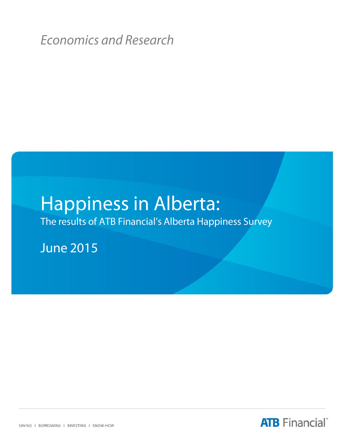**Economics and Research** 

# **Happiness in Alberta:**

The results of ATB Financial's Alberta Happiness Survey

**June 2015** 

**ATB** Financial®

SAVING I BORROWING I INVESTING I KNOW-HOW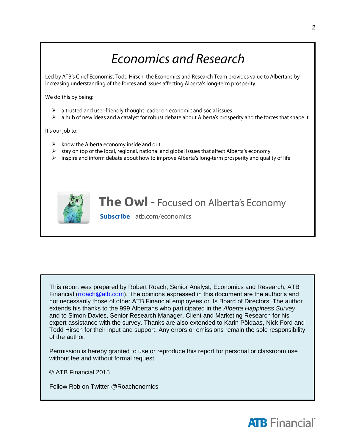## **Economics and Research**

Led by ATB's Chief Economist Todd Hirsch, the Economics and Research Team provides value to Albertans by increasing understanding of the forces and issues affecting Alberta's long-term prosperity.

We do this by being:

- $\triangleright$  a trusted and user-friendly thought leader on economic and social issues
- $\triangleright$  a hub of new ideas and a catalyst for robust debate about Alberta's prosperity and the forces that shape it

It's our job to:

- $\triangleright$  know the Alberta economy inside and out
- $\blacktriangleright$ stay on top of the local, regional, national and global issues that affect Alberta's economy
- $\blacktriangleright$ inspire and inform debate about how to improve Alberta's long-term prosperity and quality of life



### **The Owl** - Focused on Alberta's Economy

**Subscribe** atb.com/economics

This report was prepared by Robert Roach, Senior Analyst, Economics and Research, ATB Financial [\(rroach@atb.com\)](mailto:rroach@atb.com). The opinions expressed in this document are the author's and not necessarily those of other ATB Financial employees or its Board of Directors. The author extends his thanks to the 999 Albertans who participated in the *Alberta Happiness Survey* and to Simon Davies, Senior Research Manager, Client and Marketing Research for his expert assistance with the survey. Thanks are also extended to Karin Põldaas, Nick Ford and Todd Hirsch for their input and support. Any errors or omissions remain the sole responsibility of the author.

Permission is hereby granted to use or reproduce this report for personal or classroom use without fee and without formal request.

© ATB Financial 2015

Follow Rob on Twitter @Roachonomics

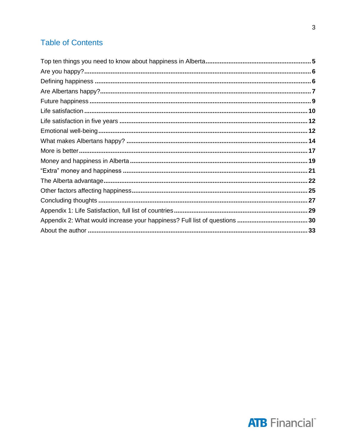### **Table of Contents**

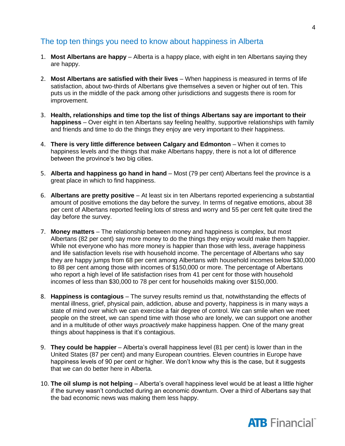### The top ten things you need to know about happiness in Alberta

- 1. **Most Albertans are happy** Alberta is a happy place, with eight in ten Albertans saying they are happy.
- 2. **Most Albertans are satisfied with their lives** When happiness is measured in terms of life satisfaction, about two-thirds of Albertans give themselves a seven or higher out of ten. This puts us in the middle of the pack among other jurisdictions and suggests there is room for improvement.
- 3. **Health, relationships and time top the list of things Albertans say are important to their happiness** – Over eight in ten Albertans say feeling healthy, supportive relationships with family and friends and time to do the things they enjoy are very important to their happiness.
- 4. **There is very little difference between Calgary and Edmonton**  When it comes to happiness levels and the things that make Albertans happy, there is not a lot of difference between the province's two big cities.
- 5. **Alberta and happiness go hand in hand** Most (79 per cent) Albertans feel the province is a great place in which to find happiness.
- 6. **Albertans are pretty positive** At least six in ten Albertans reported experiencing a substantial amount of positive emotions the day before the survey. In terms of negative emotions, about 38 per cent of Albertans reported feeling lots of stress and worry and 55 per cent felt quite tired the day before the survey.
- 7. **Money matters** The relationship between money and happiness is complex, but most Albertans (82 per cent) say more money to do the things they enjoy would make them happier. While not everyone who has more money is happier than those with less, average happiness and life satisfaction levels rise with household income. The percentage of Albertans who say they are happy jumps from 68 per cent among Albertans with household incomes below \$30,000 to 88 per cent among those with incomes of \$150,000 or more. The percentage of Albertans who report a high level of life satisfaction rises from 41 per cent for those with household incomes of less than \$30,000 to 78 per cent for households making over \$150,000.
- 8. **Happiness is contagious** The survey results remind us that, notwithstanding the effects of mental illness, grief, physical pain, addiction, abuse and poverty, happiness is in many ways a state of mind over which we can exercise a fair degree of control. We can smile when we meet people on the street, we can spend time with those who are lonely, we can support one another and in a multitude of other ways *proactively* make happiness happen. One of the many great things about happiness is that it's contagious.
- 9. **They could be happier**  Alberta's overall happiness level (81 per cent) is lower than in the United States (87 per cent) and many European countries. Eleven countries in Europe have happiness levels of 90 per cent or higher. We don't know why this is the case, but it suggests that we can do better here in Alberta.
- 10. **The oil slump is not helping**  Alberta's overall happiness level would be at least a little higher if the survey wasn't conducted during an economic downturn. Over a third of Albertans say that the bad economic news was making them less happy.

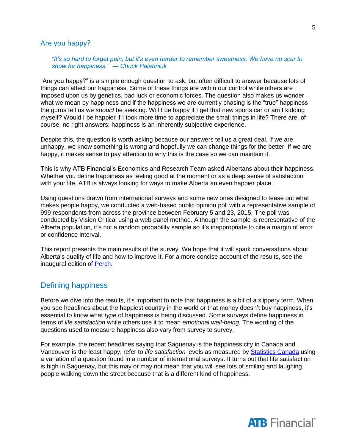### Are you happy?

#### *"It's so hard to forget pain, but it's even harder to remember sweetness. We have no scar to show for happiness." ― [Chuck Palahniuk](http://www.goodreads.com/author/show/2546.Chuck_Palahniuk)*

"Are you happy?" is a simple enough question to ask, but often difficult to answer because lots of things can affect our happiness. Some of these things are within our control while others are imposed upon us by genetics, bad luck or economic forces. The question also makes us wonder what we mean by happiness and if the happiness we are currently chasing is the "true" happiness the gurus tell us we *should* be seeking. Will I be happy if I get that new sports car or am I kidding myself? Would I be happier if I took more time to appreciate the small things in life? There are, of course, no right answers; happiness is an inherently subjective experience.

Despite this, the question is worth asking because our answers tell us a great deal. If we are unhappy, we know something is wrong and hopefully we can change things for the better. If we are happy, it makes sense to pay attention to why this is the case so we can maintain it.

This is why ATB Financial's Economics and Research Team asked Albertans about their happiness. Whether you define happiness as feeling good at the moment or as a deep sense of satisfaction with your life, ATB is always looking for ways to make Alberta an even happier place.

Using questions drawn from international surveys and some new ones designed to tease out what makes people happy, we conducted a web-based public opinion poll with a representative sample of 999 respondents from across the province between February 5 and 23, 2015. The poll was conducted by Vision Critical using a web panel method. Although the sample is representative of the Alberta population, it's not a random probability sample so it's inappropriate to cite a margin of error or confidence interval.

This report presents the main results of the survey. We hope that it will spark conversations about Alberta's quality of life and how to improve it. For a more concise account of the results, see the inaugural edition of [Perch.](http://www.atb.com/economics)

### Defining happiness

Before we dive into the results, it's important to note that happiness is a bit of a slippery term. When you see headlines about the happiest country in the world or that money doesn't buy happiness, it's essential to know what *type* of happiness is being discussed. Some surveys define happiness in terms of *life satisfaction* while others use it to mean *emotional well-being.* The wording of the questions used to measure happiness also vary from survey to survey.

For example, the recent headlines saying that Saguenay is the happiness city in Canada and Vancouver is the least happy, refer to *life satisfaction* levels as measured by [Statistics Canada](http://www.statcan.gc.ca/pub/11-626-x/11-626-x2015046-eng.htm) using a variation of a question found in a number of international surveys. It turns out that life satisfaction is high in Saguenay, but this may or may not mean that you will see lots of smiling and laughing people walking down the street because that is a different kind of happiness.

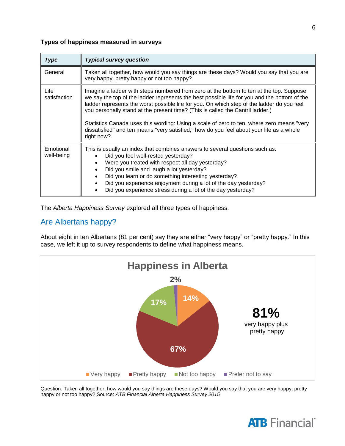### **Types of happiness measured in surveys**

| <b>Type</b>             | <b>Typical survey question</b>                                                                                                                                                                                                                                                                                                                                                                                                                                                                                                                                                 |
|-------------------------|--------------------------------------------------------------------------------------------------------------------------------------------------------------------------------------------------------------------------------------------------------------------------------------------------------------------------------------------------------------------------------------------------------------------------------------------------------------------------------------------------------------------------------------------------------------------------------|
| General                 | Taken all together, how would you say things are these days? Would you say that you are<br>very happy, pretty happy or not too happy?                                                                                                                                                                                                                                                                                                                                                                                                                                          |
| Life<br>satisfaction    | Imagine a ladder with steps numbered from zero at the bottom to ten at the top. Suppose<br>we say the top of the ladder represents the best possible life for you and the bottom of the<br>ladder represents the worst possible life for you. On which step of the ladder do you feel<br>you personally stand at the present time? (This is called the Cantril ladder.)<br>Statistics Canada uses this wording: Using a scale of zero to ten, where zero means "very<br>dissatisfied" and ten means "very satisfied," how do you feel about your life as a whole<br>right now? |
| Emotional<br>well-being | This is usually an index that combines answers to several questions such as:<br>Did you feel well-rested yesterday?<br>Were you treated with respect all day yesterday?<br>$\bullet$<br>Did you smile and laugh a lot yesterday?<br>Did you learn or do something interesting yesterday?<br>Did you experience enjoyment during a lot of the day yesterday?<br>Did you experience stress during a lot of the day yesterday?                                                                                                                                                    |

The *Alberta Happiness Survey* explored all three types of happiness.

### Are Albertans happy?

About eight in ten Albertans (81 per cent) say they are either "very happy" or "pretty happy." In this case, we left it up to survey respondents to define what happiness means.



Question: Taken all together, how would you say things are these days? Would you say that you are very happy, pretty happy or not too happy? Source: *ATB Financial Alberta Happiness Survey 2015*

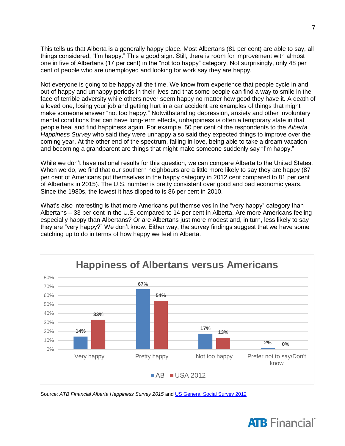This tells us that Alberta is a generally happy place. Most Albertans (81 per cent) are able to say, all things considered, "I'm happy." This a good sign. Still, there is room for improvement with almost one in five of Albertans (17 per cent) in the "not too happy" category. Not surprisingly, only 48 per cent of people who are unemployed and looking for work say they are happy.

Not everyone is going to be happy all the time. We know from experience that people cycle in and out of happy and unhappy periods in their lives and that some people can find a way to smile in the face of terrible adversity while others never seem happy no matter how good they have it. A death of a loved one, losing your job and getting hurt in a car accident are examples of things that might make someone answer "not too happy." Notwithstanding depression, anxiety and other involuntary mental conditions that can have long-term effects, unhappiness is often a temporary state in that people heal and find happiness again. For example, 50 per cent of the respondents to the *Alberta Happiness Survey* who said they were unhappy also said they expected things to improve over the coming year. At the other end of the spectrum, falling in love, being able to take a dream vacation and becoming a grandparent are things that might make someone suddenly say "I'm happy."

While we don't have national results for this question, we can compare Alberta to the United States. When we do, we find that our southern neighbours are a little more likely to say they are happy (87 per cent of Americans put themselves in the happy category in 2012 cent compared to 81 per cent of Albertans in 2015). The U.S. number is pretty consistent over good and bad economic years. Since the 1980s, the lowest it has dipped to is 86 per cent in 2010.

What's also interesting is that more Americans put themselves in the "very happy" category than Albertans – 33 per cent in the U.S. compared to 14 per cent in Alberta. Are more Americans feeling especially happy than Albertans? Or are Albertans just more modest and, in turn, less likely to say they are "very happy?" We don't know. Either way, the survey findings suggest that we have some catching up to do in terms of how happy we feel in Alberta.



Source: *ATB Financial Alberta Happiness Survey 2015* an[d US General Social Survey 2012](http://www3.norc.org/Gss+website/)

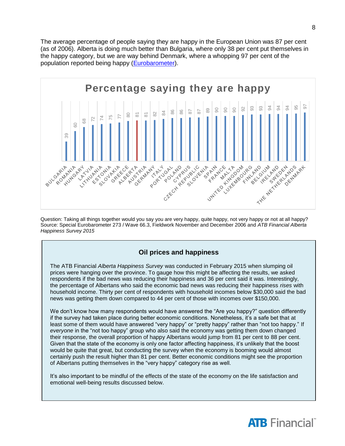The average percentage of people saying they are happy in the European Union was 87 per cent (as of 2006). Alberta is doing much better than Bulgaria, where only 38 per cent put themselves in the happy category, but we are way behind Denmark, where a whopping 97 per cent of the population reported being happy [\(Eurobarometer\)](http://ec.europa.eu/public_opinion/archives/ebs/ebs_273_en.pdf).



Question: Taking all things together would you say you are very happy, quite happy, not very happy or not at all happy? Source: Special Eurobarometer 273 / Wave 66.3, Fieldwork November and December 2006 and *ATB Financial Alberta* 

### **Oil prices and happiness**

The ATB Financial *Alberta Happiness Survey* was conducted in February 2015 when slumping oil prices were hanging over the province. To gauge how this might be affecting the results, we asked respondents if the bad news was reducing their happiness and 36 per cent said it was. Interestingly, the percentage of Albertans who said the economic bad news was reducing their happiness *rises* with household income. Thirty per cent of respondents with household incomes below \$30,000 said the bad news was getting them down compared to 44 per cent of those with incomes over \$150,000.

We don't know how many respondents would have answered the "Are you happy?" question differently if the survey had taken place during better economic conditions. Nonetheless, it's a safe bet that at least some of them would have answered "very happy" or "pretty happy" rather than "not too happy." If *everyone* in the "not too happy" group who also said the economy was getting them down changed their response, the overall proportion of happy Albertans would jump from 81 per cent to 88 per cent. Given that the state of the economy is only one factor affecting happiness, it's unlikely that the boost would be quite that great, but conducting the survey when the economy is booming would almost certainly push the result higher than 81 per cent. Better economic conditions might see the proportion of Albertans putting themselves in the "very happy" category rise as well.

It's also important to be mindful of the effects of the state of the economy on the life satisfaction and emotional well-being results discussed below.

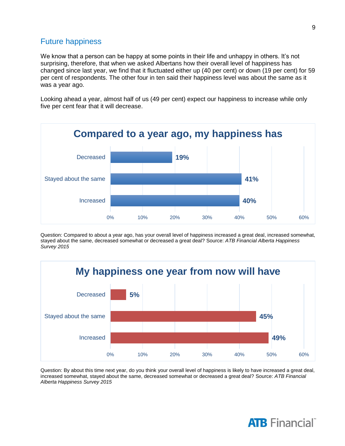### Future happiness

We know that a person can be happy at some points in their life and unhappy in others. It's not surprising, therefore, that when we asked Albertans how their overall level of happiness has changed since last year, we find that it fluctuated either up (40 per cent) or down (19 per cent) for 59 per cent of respondents. The other four in ten said their happiness level was about the same as it was a year ago.

Looking ahead a year, almost half of us (49 per cent) expect our happiness to increase while only five per cent fear that it will decrease.



Question: Compared to about a year ago, has your overall level of happiness increased a great deal, increased somewhat, stayed about the same, decreased somewhat or decreased a great deal? Source: *ATB Financial Alberta Happiness Survey 2015*



Question: By about this time next year, do you think your overall level of happiness is likely to have increased a great deal, increased somewhat, stayed about the same, decreased somewhat or decreased a great deal? Source: *ATB Financial Alberta Happiness Survey 2015*

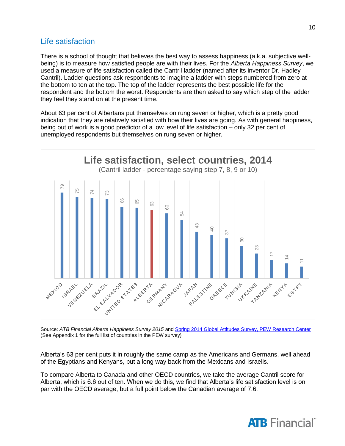### Life satisfaction

There is a school of thought that believes the best way to assess happiness (a.k.a. subjective wellbeing) is to measure how satisfied people are with their lives. For the *Alberta Happiness Survey*, we used a measure of life satisfaction called the Cantril ladder (named after its inventor Dr. Hadley Cantril). Ladder questions ask respondents to imagine a ladder with steps numbered from zero at the bottom to ten at the top. The top of the ladder represents the best possible life for the respondent and the bottom the worst. Respondents are then asked to say which step of the ladder they feel they stand on at the present time.

About 63 per cent of Albertans put themselves on rung seven or higher, which is a pretty good indication that they are relatively satisfied with how their lives are going. As with general happiness, being out of work is a good predictor of a low level of life satisfaction – only 32 per cent of unemployed respondents but themselves on rung seven or higher.



Source: *ATB Financial Alberta Happiness Survey 2015* an[d Spring 2014 Global Attitudes Survey, PEW Research Center](http://www.pewglobal.org/files/2014/10/Pew-Research-Center-Life-Satisfaction-Report-FINAL-October-30-2014.pdf) (See Appendix 1 for the full list of countries in the PEW survey)

Alberta's 63 per cent puts it in roughly the same camp as the Americans and Germans, well ahead of the Egyptians and Kenyans, but a long way back from the Mexicans and Israelis.

To compare Alberta to Canada and other OECD countries, we take the average Cantril score for Alberta, which is 6.6 out of ten. When we do this, we find that Alberta's life satisfaction level is on



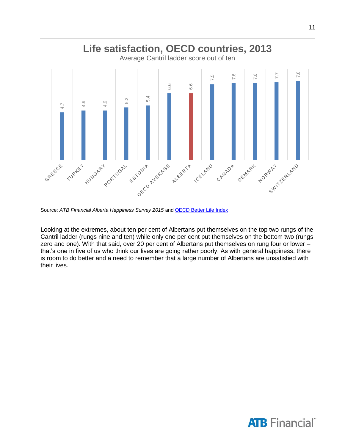

Source: ATB Financial Alberta Happiness Survey 2015 an[d OECD Better Life Index](http://www.oecdbetterlifeindex.org/)

Looking at the extremes, about ten per cent of Albertans put themselves on the top two rungs of the Cantril ladder (rungs nine and ten) while only one per cent put themselves on the bottom two (rungs zero and one). With that said, over 20 per cent of Albertans put themselves on rung four or lower – that's one in five of us who think our lives are going rather poorly. As with general happiness, there is room to do better and a need to remember that a large number of Albertans are unsatisfied with their lives.



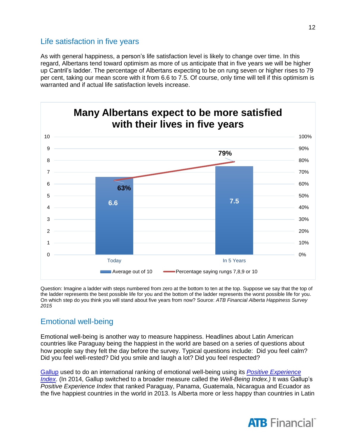### Life satisfaction in five years

As with general happiness, a person's life satisfaction level is likely to change over time. In this regard, Albertans tend toward optimism as more of us anticipate that in five years we will be higher up Cantril's ladder. The percentage of Albertans expecting to be on rung seven or higher rises to 79 per cent, taking our mean score with it from 6.6 to 7.5. Of course, only time will tell if this optimism is warranted and if actual life satisfaction levels increase.



Question: Imagine a ladder with steps numbered from zero at the bottom to ten at the top. Suppose we say that the top of the ladder represents the best possible life for you and the bottom of the ladder represents the worst possible life for you. On which step do you think you will stand about five years from now? Source: *ATB Financial Alberta Happiness Survey 2015*

### Emotional well-being

Emotional well-being is another way to measure happiness. Headlines about Latin American countries like Paraguay being the happiest in the world are based on a series of questions about how people say they felt the day before the survey. Typical questions include: Did you feel calm? Did you feel well-rested? Did you smile and laugh a lot? Did you feel respected?

[Gallup](file://atb.ab.com/home/ATBPlace/E79503/Happy%20Gilmore/gallup.com) used to do an international ranking of emotional well-being using its *[Positive Experience](http://www.gallup.com/poll/169322/people-worldwide-reporting-lot-positive-emotions.aspx)  [Index](http://www.gallup.com/poll/169322/people-worldwide-reporting-lot-positive-emotions.aspx)*. (In 2014, Gallup switched to a broader measure called the *Well-Being Index.)* It was Gallup's *Positive Experience Index* that ranked Paraguay, Panama, Guatemala, Nicaragua and Ecuador as the five happiest countries in the world in 2013. Is Alberta more or less happy than countries in Latin



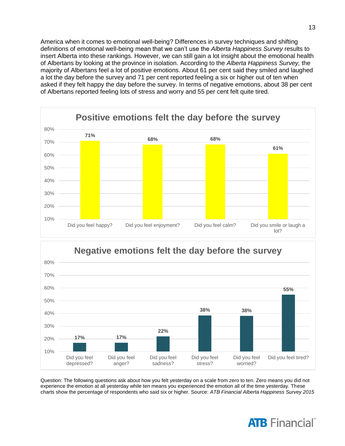America when it comes to emotional well-being? Differences in survey techniques and shifting definitions of emotional well-being mean that we can't use the *Alberta Happiness Survey* results to insert Alberta into these rankings. However, we can still gain a lot insight about the emotional health of Albertans by looking at the province in isolation. According to the *Alberta Happiness Survey,* the majority of Albertans feel a lot of positive emotions. About 61 per cent said they smiled and laughed a lot the day before the survey and 71 per cent reported feeling a six or higher out of ten when asked if they felt happy the day before the survey. In terms of negative emotions, about 38 per cent of Albertans reported feeling lots of stress and worry and 55 per cent felt quite tired.





Question: The following questions ask about how you felt yesterday on a scale from zero to ten. Zero means you did not experience the emotion at all yesterday while ten means you experienced the emotion all of the time yesterday. These charts show the percentage of respondents who said six or higher. Source: *ATB Financial Alberta Happiness Survey 2015*



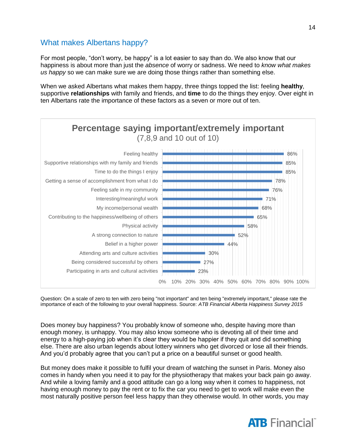### What makes Albertans happy?

For most people, "don't worry, be happy" is a lot easier to say than do. We also know that our happiness is about more than just the *absence* of worry or sadness. We need to *know what makes us happy* so we can make sure we are doing those things rather than something else.

When we asked Albertans what makes them happy, three things topped the list: feeling **healthy**, supportive **relationships** with family and friends, and **time** to do the things they enjoy. Over eight in ten Albertans rate the importance of these factors as a seven or more out of ten.



Question: On a scale of zero to ten with zero being "not important" and ten being "extremely important," please rate the importance of each of the following to your overall happiness. Source: *ATB Financial Alberta Happiness Survey 2015*

Does money buy happiness? You probably know of someone who, despite having more than enough money, is unhappy. You may also know someone who is devoting all of their time and energy to a high-paying job when it's clear they would be happier if they quit and did something else. There are also urban legends about lottery winners who get divorced or lose all their friends. And you'd probably agree that you can't put a price on a beautiful sunset or good health.

But money does make it possible to fulfil your dream of watching the sunset in Paris. Money also comes in handy when you need it to pay for the physiotherapy that makes your back pain go away. And while a loving family and a good attitude can go a long way when it comes to happiness, not having enough money to pay the rent or to fix the car you need to get to work will make even the most naturally positive person feel less happy than they otherwise would. In other words, you may

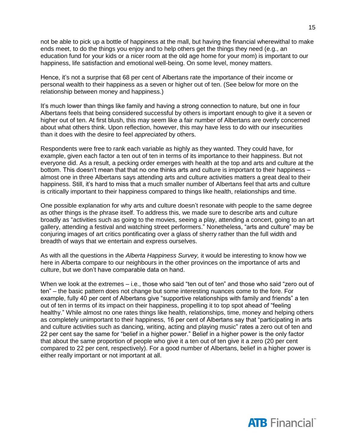not be able to pick up a bottle of happiness at the mall, but having the financial wherewithal to make ends meet, to do the things you enjoy and to help others get the things they need (e.g., an education fund for your kids or a nicer room at the old age home for your mom) is important to our happiness, life satisfaction and emotional well-being. On some level, money matters.

Hence, it's not a surprise that 68 per cent of Albertans rate the importance of their income or personal wealth to their happiness as a seven or higher out of ten. (See below for more on the relationship between money and happiness.)

It's much lower than things like family and having a strong connection to nature, but one in four Albertans feels that being considered successful by others is important enough to give it a seven or higher out of ten. At first blush, this may seem like a fair number of Albertans are overly concerned about what others think. Upon reflection, however, this may have less to do with our insecurities than it does with the desire to feel *appreciated* by others.

Respondents were free to rank each variable as highly as they wanted. They could have, for example, given each factor a ten out of ten in terms of its importance to their happiness. But not everyone did. As a result, a pecking order emerges with health at the top and arts and culture at the bottom. This doesn't mean that that no one thinks arts and culture is important to their happiness – almost one in three Albertans says attending arts and culture activities matters a great deal to their happiness. Still, it's hard to miss that a much smaller number of Albertans feel that arts and culture is critically important to their happiness compared to things like health, relationships and time.

One possible explanation for why arts and culture doesn't resonate with people to the same degree as other things is the phrase itself. To address this, we made sure to describe arts and culture broadly as "activities such as going to the movies, seeing a play, attending a concert, going to an art gallery, attending a festival and watching street performers." Nonetheless, "arts and culture" may be conjuring images of art critics pontificating over a glass of sherry rather than the full width and breadth of ways that we entertain and express ourselves.

As with all the questions in the *Alberta Happiness Survey,* it would be interesting to know how we here in Alberta compare to our neighbours in the other provinces on the importance of arts and culture, but we don't have comparable data on hand.

When we look at the extremes – i.e., those who said "ten out of ten" and those who said "zero out of ten" – the basic pattern does not change but some interesting nuances come to the fore. For example, fully 40 per cent of Albertans give "supportive relationships with family and friends" a ten out of ten in terms of its impact on their happiness, propelling it to top spot ahead of "feeling healthy." While almost no one rates things like health, relationships, time, money and helping others as completely unimportant to their happiness, 16 per cent of Albertans say that "participating in arts and culture activities such as dancing, writing, acting and playing music" rates a zero out of ten and 22 per cent say the same for "belief in a higher power." Belief in a higher power is the only factor that about the same proportion of people who give it a ten out of ten give it a zero (20 per cent compared to 22 per cent, respectively). For a good number of Albertans, belief in a higher power is either really important or not important at all.

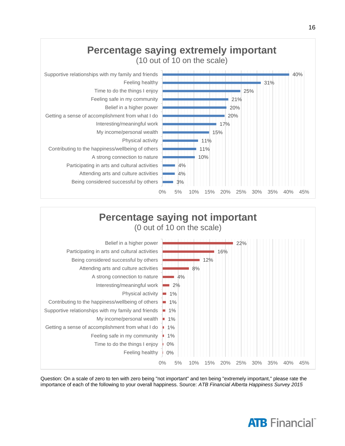



Question: On a scale of zero to ten with zero being "not important" and ten being "extremely important," please rate the importance of each of the following to your overall happiness. Source: *ATB Financial Alberta Happiness Survey 2015*



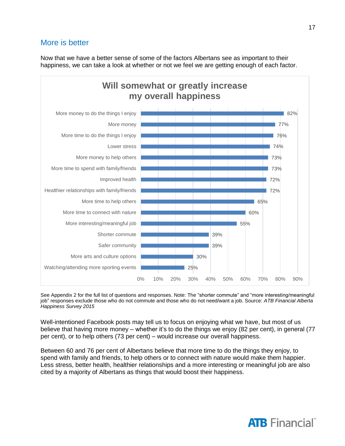### More is better

Now that we have a better sense of some of the factors Albertans see as important to their happiness, we can take a look at whether or not we feel we are getting enough of each factor.



See Appendix 2 for the full list of questions and responses. Note: The "shorter commute" and "more interesting/meaningful job" responses exclude those who do not commute and those who do not need/want a job. Source: *ATB Financial Alberta Happiness Survey 2015*

Well-intentioned Facebook posts may tell us to focus on enjoying what we have, but most of us believe that having more money – whether it's to do the things we enjoy (82 per cent), in general (77 per cent), or to help others (73 per cent) – would increase our overall happiness.

Between 60 and 76 per cent of Albertans believe that more time to do the things they enjoy, to spend with family and friends, to help others or to connect with nature would make them happier. Less stress, better health, healthier relationships and a more interesting or meaningful job are also cited by a majority of Albertans as things that would boost their happiness.

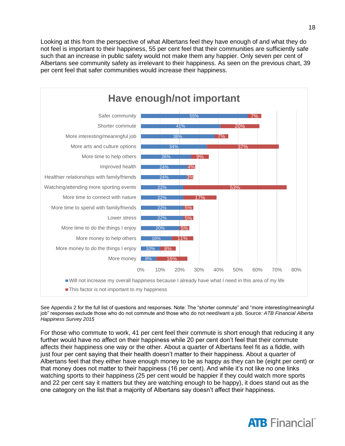Looking at this from the perspective of what Albertans feel they have enough of and what they do not feel is important to their happiness, 55 per cent feel that their communities are sufficiently safe such that an increase in public safety would not make them any happier. Only seven per cent of Albertans see community safety as irrelevant to their happiness. As seen on the previous chart, 39 per cent feel that safer communities would increase their happiness.



See Appendix 2 for the full list of questions and responses. Note: The "shorter commute" and "more interesting/meaningful job" responses exclude those who do not commute and those who do not need/want a job. Source*: ATB Financial Alberta Happiness Survey 2015*

For those who commute to work, 41 per cent feel their commute is short enough that reducing it any further would have no affect on their happiness while 20 per cent don't feel that their commute affects their happiness one way or the other. About a quarter of Albertans feel fit as a fiddle, with just four per cent saying that their health doesn't matter to their happiness. About a quarter of Albertans feel that they either have enough money to be as happy as they can be (eight per cent) or that money does not matter to their happiness (16 per cent). And while it's not like no one links watching sports to their happiness (25 per cent would be happier if they could watch more sports and 22 per cent say it matters but they are watching enough to be happy), it does stand out as the one category on the list that a majority of Albertans say doesn't affect their happiness.

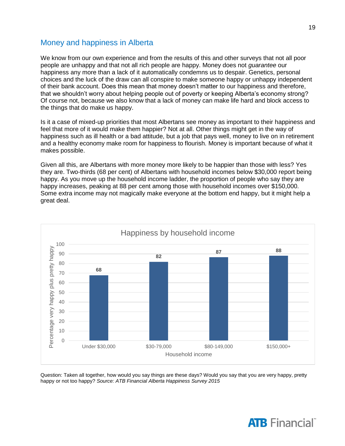### Money and happiness in Alberta

We know from our own experience and from the results of this and other surveys that not all poor people are unhappy and that not all rich people are happy. Money does not *guarantee* our happiness any more than a lack of it automatically condemns us to despair. Genetics, personal choices and the luck of the draw can all conspire to make someone happy or unhappy independent of their bank account. Does this mean that money doesn't matter to our happiness and therefore, that we shouldn't worry about helping people out of poverty or keeping Alberta's economy strong? Of course not, because we also know that a lack of money can make life hard and block access to the things that do make us happy.

Is it a case of mixed-up priorities that most Albertans see money as important to their happiness and feel that more of it would make them happier? Not at all. Other things might get in the way of happiness such as ill health or a bad attitude, but a job that pays well, money to live on in retirement and a healthy economy make room for happiness to flourish. Money is important because of what it makes possible.

Given all this, are Albertans with more money more likely to be happier than those with less? Yes they are. Two-thirds (68 per cent) of Albertans with household incomes below \$30,000 report being happy. As you move up the household income ladder, the proportion of people who say they are happy increases, peaking at 88 per cent among those with household incomes over \$150,000. Some extra income may not magically make everyone at the bottom end happy, but it might help a great deal.



Question: Taken all together, how would you say things are these days? Would you say that you are very happy, pretty happy or not too happy? *Source: ATB Financial Alberta Happiness Survey 2015*

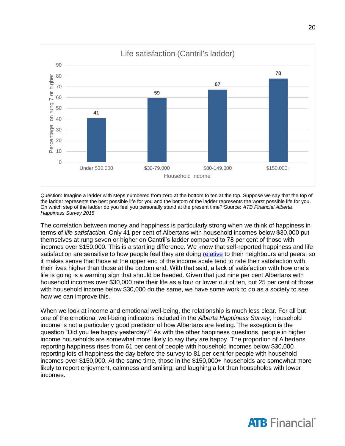

Question: Imagine a ladder with steps numbered from zero at the bottom to ten at the top. Suppose we say that the top of the ladder represents the best possible life for you and the bottom of the ladder represents the worst possible life for you. On which step of the ladder do you feel you personally stand at the present time? Source: *ATB Financial Alberta Happiness Survey 2015*

The correlation between money and happiness is particularly strong when we think of happiness in terms of *life satisfaction.* Only 41 per cent of Albertans with household incomes below \$30,000 put themselves at rung seven or higher on Cantril's ladder compared to 78 per cent of those with incomes over \$150,000. This is a startling difference. We know that self-reported happiness and life satisfaction are sensitive to how people feel they are doing [relative](https://openknowledge.worldbank.org/bitstream/handle/10986/15825/WPS6606.pdf) to their neighbours and peers, so it makes sense that those at the upper end of the income scale tend to rate their satisfaction with their lives higher than those at the bottom end. With that said, a lack of satisfaction with how one's life is going is a warning sign that should be heeded. Given that just nine per cent Albertans with household incomes over \$30,000 rate their life as a four or lower out of ten, but 25 per cent of those with household income below \$30,000 do the same, we have some work to do as a society to see how we can improve this.

When we look at income and emotional well-being, the relationship is much less clear. For all but one of the emotional well-being indicators included in the *Alberta Happiness Survey*, household income is not a particularly good predictor of how Albertans are feeling. The exception is the question "Did you fee happy yesterday?" As with the other happiness questions, people in higher income households are somewhat more likely to say they are happy. The proportion of Albertans reporting happiness rises from 61 per cent of people with household incomes below \$30,000 reporting lots of happiness the day before the survey to 81 per cent for people with household incomes over \$150,000. At the same time, those in the \$150,000+ households are somewhat more likely to report enjoyment, calmness and smiling, and laughing a lot than households with lower incomes.

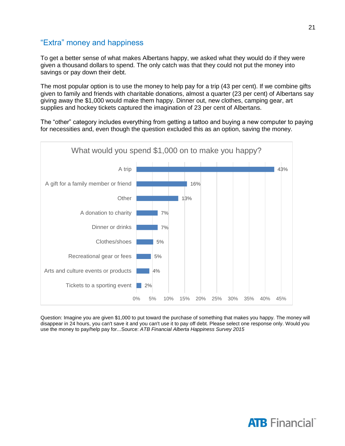### "Extra" money and happiness

To get a better sense of what makes Albertans happy, we asked what they would do if they were given a thousand dollars to spend. The only catch was that they could not put the money into savings or pay down their debt.

The most popular option is to use the money to help pay for a trip (43 per cent). If we combine gifts given to family and friends with charitable donations, almost a quarter (23 per cent) of Albertans say giving away the \$1,000 would make them happy. Dinner out, new clothes, camping gear, art supplies and hockey tickets captured the imagination of 23 per cent of Albertans.

The "other" category includes everything from getting a tattoo and buying a new computer to paying for necessities and, even though the question excluded this as an option, saving the money.



Question: Imagine you are given \$1,000 to put toward the purchase of something that makes you happy. The money will disappear in 24 hours, you can't save it and you can't use it to pay off debt. Please select one response only. Would you use the money to pay/help pay for...Source: *ATB Financial Alberta Happiness Survey 2015*

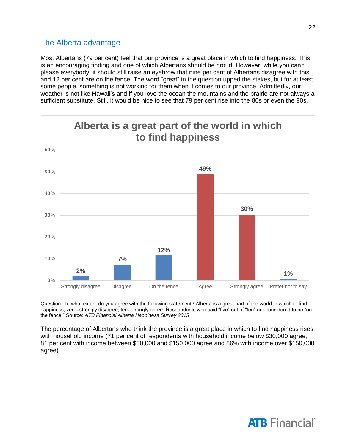### The Alberta advantage

Most Albertans (79 per cent) feel that our province is a great place in which to find happiness. This is an encouraging finding and one of which Albertans should be proud. However, while you can't please everybody, it should still raise an eyebrow that nine per cent of Albertans disagree with this and 12 per cent are on the fence. The word "great" in the question upped the stakes, but for at least some people, something is not working for them when it comes to our province. Admittedly, our weather is not like Hawaii's and if you love the ocean the mountains and the prairie are not always a sufficient substitute. Still, it would be nice to see that 79 per cent rise into the 80s or even the 90s.



Question: To what extent do you agree with the following statement? Alberta is a great part of the world in which to find happiness, zero=strongly disagree, ten=strongly agree. Respondents who said "five" out of "ten" are considered to be "on the fence." Source: *ATB Financial Alberta Happiness Survey 2015*

The percentage of Albertans who think the province is a great place in which to find happiness rises with household income (71 per cent of respondents with household income below \$30,000 agree, 81 per cent with income between \$30,000 and \$150,000 agree and 86% with income over \$150,000 agree).

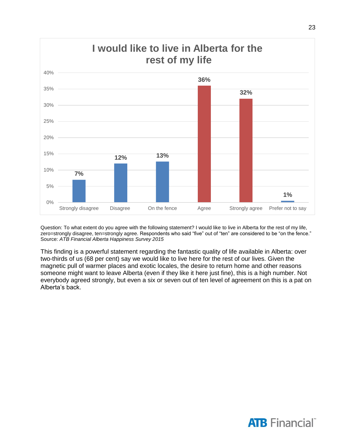

Question: To what extent do you agree with the following statement? I would like to live in Alberta for the rest of my life, zero=strongly disagree, ten=strongly agree. Respondents who said "five" out of "ten" are considered to be "on the fence." Source: *ATB Financial Alberta Happiness Survey 2015*

This finding is a powerful statement regarding the fantastic quality of life available in Alberta: over two-thirds of us (68 per cent) say we would like to live here for the rest of our lives. Given the magnetic pull of warmer places and exotic locales, the desire to return home and other reasons someone might want to leave Alberta (even if they like it here just fine), this is a high number. Not everybody agreed strongly, but even a six or seven out of ten level of agreement on this is a pat on Alberta's back.

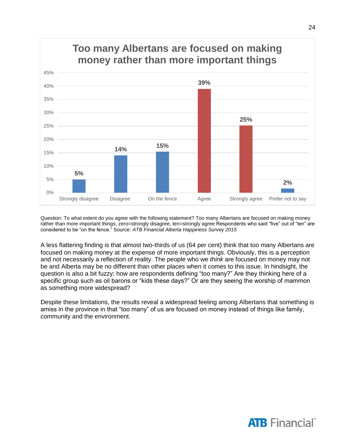

Question: To what extent do you agree with the following statement? Too many Albertans are focused on making money rather than more important things, zero=strongly disagree, ten=strongly agree Respondents who said "five" out of "ten" are considered to be "on the fence." Source: *ATB Financial Alberta Happiness Survey 2015*

A less flattering finding is that almost two-thirds of us (64 per cent) think that too many Albertans are focused on making money at the expense of more important things. Obviously, this is a perception and not necessarily a reflection of reality. The people who we *think* are focused on money may not be and Alberta may be no different than other places when it comes to this issue. In hindsight, the question is also a bit fuzzy; how are respondents defining "too many?" Are they thinking here of a specific group such as oil barons or "kids these days?" Or are they seeing the worship of mammon as something more widespread?

Despite these limitations, the results reveal a widespread feeling among Albertans that something is amiss in the province in that "too many" of us are focused on money instead of things like family, community and the environment.

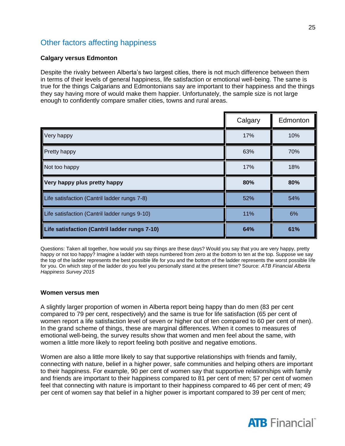### Other factors affecting happiness

### **Calgary versus Edmonton**

Despite the rivalry between Alberta's two largest cities, there is not much difference between them in terms of their levels of general happiness, life satisfaction or emotional well-being. The same is true for the things Calgarians and Edmontonians say are important to their happiness and the things they say having more of would make them happier. Unfortunately, the sample size is not large enough to confidently compare smaller cities, towns and rural areas.

|                                               | Calgary | Edmonton |
|-----------------------------------------------|---------|----------|
| Very happy                                    | 17%     | 10%      |
| <b>Pretty happy</b>                           | 63%     | 70%      |
| Not too happy                                 | 17%     | 18%      |
| Very happy plus pretty happy                  | 80%     | 80%      |
| Life satisfaction (Cantril ladder rungs 7-8)  | 52%     | 54%      |
| Life satisfaction (Cantril ladder rungs 9-10) | 11%     | 6%       |
| Life satisfaction (Cantril ladder rungs 7-10) | 64%     | 61%      |

Questions: Taken all together, how would you say things are these days? Would you say that you are very happy, pretty happy or not too happy? Imagine a ladder with steps numbered from zero at the bottom to ten at the top. Suppose we say the top of the ladder represents the best possible life for you and the bottom of the ladder represents the worst possible life for you. On which step of the ladder do you feel you personally stand at the present time? Source: *ATB Financial Alberta Happiness Survey 2015*

#### **Women versus men**

A slightly larger proportion of women in Alberta report being happy than do men (83 per cent compared to 79 per cent, respectively) and the same is true for life satisfaction (65 per cent of women report a life satisfaction level of seven or higher out of ten compared to 60 per cent of men). In the grand scheme of things, these are marginal differences. When it comes to measures of emotional well-being, the survey results show that women and men feel about the same, with women a little more likely to report feeling both positive and negative emotions.

Women are also a little more likely to say that supportive relationships with friends and family, connecting with nature, belief in a higher power, safe communities and helping others are important to their happiness. For example, 90 per cent of women say that supportive relationships with family and friends are important to their happiness compared to 81 per cent of men; 57 per cent of women feel that connecting with nature is important to their happiness compared to 46 per cent of men; 49 per cent of women say that belief in a higher power is important compared to 39 per cent of men;

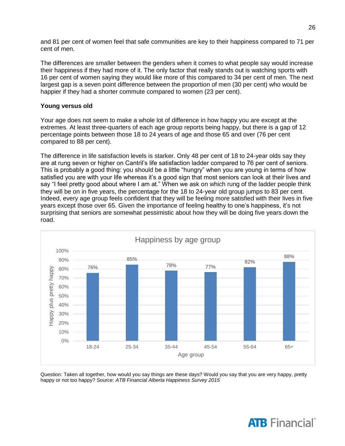and 81 per cent of women feel that safe communities are key to their happiness compared to 71 per cent of men.

The differences are smaller between the genders when it comes to what people say would increase their happiness if they had more of it. The only factor that really stands out is watching sports with 16 per cent of women saying they would like more of this compared to 34 per cent of men. The next largest gap is a seven point difference between the proportion of men (30 per cent) who would be happier if they had a shorter commute compared to women (23 per cent).

#### **Young versus old**

Your age does not seem to make a whole lot of difference in how happy you are except at the extremes. At least three-quarters of each age group reports being happy, but there is a gap of 12 percentage points between those 18 to 24 years of age and those 65 and over (76 per cent compared to 88 per cent).

The difference in life satisfaction levels is starker. Only 48 per cent of 18 to 24-year olds say they are at rung seven or higher on Cantril's life satisfaction ladder compared to 76 per cent of seniors. This is probably a good thing: you should be a little "hungry" when you are young in terms of how satisfied you are with your life whereas it's a good sign that most seniors can look at their lives and say "I feel pretty good about where I am at." When we ask on which rung of the ladder people think they will be on in five years, the percentage for the 18 to 24-year old group jumps to 83 per cent. Indeed, every age group feels confident that they will be feeling more satisfied with their lives in five years except those over 65. Given the importance of feeling healthy to one's happiness, it's not surprising that seniors are somewhat pessimistic about how they will be doing five years down the road.



Question: Taken all together, how would you say things are these days? Would you say that you are very happy, pretty happy or not too happy? Source: *ATB Financial Alberta Happiness Survey 2015*



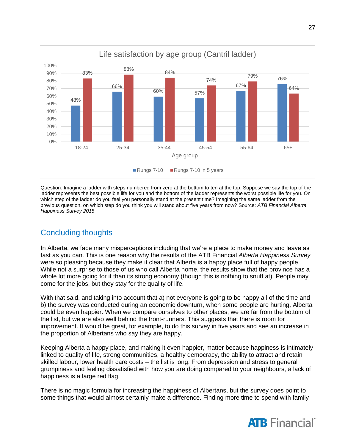

Question: Imagine a ladder with steps numbered from zero at the bottom to ten at the top. Suppose we say the top of the ladder represents the best possible life for you and the bottom of the ladder represents the worst possible life for you. On which step of the ladder do you feel you personally stand at the present time? Imagining the same ladder from the previous question, on which step do you think you will stand about five years from now? Source: *ATB Financial Alberta Happiness Survey 2015*

### Concluding thoughts

In Alberta, we face many misperceptions including that we're a place to make money and leave as fast as you can. This is one reason why the results of the ATB Financial *Alberta Happiness Survey* were so pleasing because they make it clear that Alberta is a happy place full of happy people. While not a surprise to those of us who call Alberta home, the results show that the province has a whole lot more going for it than its strong economy (though this is nothing to snuff at). People may come for the jobs, but they stay for the quality of life.

With that said, and taking into account that a) not everyone is going to be happy all of the time and b) the survey was conducted during an economic downturn, when some people are hurting, Alberta could be even happier. When we compare ourselves to other places, we are far from the bottom of the list, but we are also well behind the front-runners. This suggests that there is room for improvement. It would be great, for example, to do this survey in five years and see an increase in the proportion of Albertans who say they are happy.

Keeping Alberta a happy place, and making it even happier, matter because happiness is intimately linked to quality of life, strong communities, a healthy democracy, the ability to attract and retain skilled labour, lower health care costs – the list is long. From depression and stress to general grumpiness and feeling dissatisfied with how you are doing compared to your neighbours, a lack of happiness is a large red flag.

There is no magic formula for increasing the happiness of Albertans, but the survey does point to some things that would almost certainly make a difference. Finding more time to spend with family



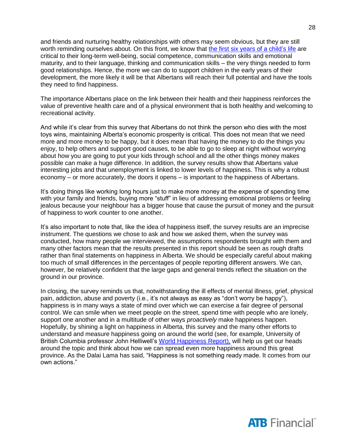and friends and nurturing healthy relationships with others may seem obvious, but they are still worth reminding ourselves about. On this front, we know that [the first six years](http://www.2000days.ca/) of a child's life are critical to their long-term well-being, social competence, communication skills and emotional maturity, and to their language, thinking and communication skills – the very things needed to form good relationships. Hence, the more we can do to support children in the early years of their development, the more likely it will be that Albertans will reach their full potential and have the tools they need to find happiness.

The importance Albertans place on the link between their health and their happiness reinforces the value of preventive health care and of a physical environment that is both healthy and welcoming to recreational activity.

And while it's clear from this survey that Albertans do not think the person who dies with the most toys wins, maintaining Alberta's economic prosperity is critical. This does not mean that we need more and more money to be happy, but it does mean that having the money to do the things you enjoy, to help others and support good causes, to be able to go to sleep at night without worrying about how you are going to put your kids through school and all the other things money makes possible can make a huge difference. In addition, the survey results show that Albertans value interesting jobs and that unemployment is linked to lower levels of happiness. This is why a robust economy – or more accurately, the doors it opens – is important to the happiness of Albertans.

It's doing things like working long hours just to make more money at the expense of spending time with your family and friends, buying more "stuff" in lieu of addressing emotional problems or feeling jealous because your neighbour has a bigger house that cause the pursuit of money and the pursuit of happiness to work counter to one another.

It's also important to note that, like the idea of happiness itself, the survey results are an imprecise instrument. The questions we chose to ask and how we asked them, when the survey was conducted, how many people we interviewed, the assumptions respondents brought with them and many other factors mean that the results presented in this report should be seen as rough drafts rather than final statements on happiness in Alberta. We should be especially careful about making too much of small differences in the percentages of people reporting different answers. We can, however, be relatively confident that the large gaps and general trends reflect the situation on the ground in our province.

In closing, the survey reminds us that, notwithstanding the ill effects of mental illness, grief, physical pain, addiction, abuse and poverty (i.e., it's not always as easy as "don't worry be happy"), happiness is in many ways a state of mind over which we can exercise a fair degree of personal control. We can smile when we meet people on the street, spend time with people who are lonely, support one another and in a multitude of other ways *proactively* make happiness happen. Hopefully, by shining a light on happiness in Alberta, this survey and the many other efforts to understand and measure happiness going on around the world (see, for example, University of British Columbia professor John Helliwell's [World Happiness Report\),](http://worldhappiness.report/) will help us get our heads around the topic and think about how we can spread even more happiness around this great province. As the Dalai Lama has said, "Happiness is not something ready made. It comes from our own actions."

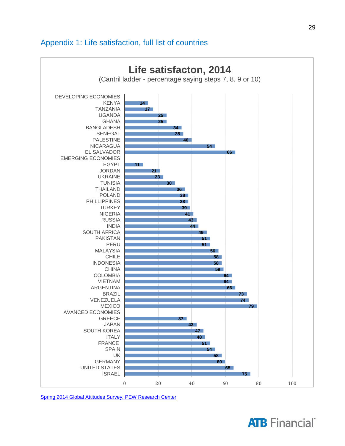### Appendix 1: Life satisfaction, full list of countries



[Spring 2014 Global Attitudes Survey, PEW Research Center](http://www.pewglobal.org/files/2014/10/Pew-Research-Center-Life-Satisfaction-Report-FINAL-October-30-2014.pdf)

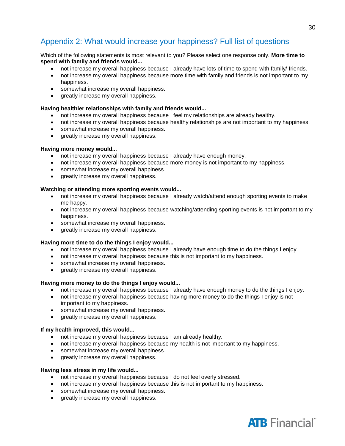### Appendix 2: What would increase your happiness? Full list of questions

#### Which of the following statements is most relevant to you? Please select one response only. **More time to spend with family and friends would...**

- not increase my overall happiness because I already have lots of time to spend with family/ friends.
- not increase my overall happiness because more time with family and friends is not important to my happiness.
- somewhat increase my overall happiness.
- greatly increase my overall happiness.

#### **Having healthier relationships with family and friends would...**

- not increase my overall happiness because I feel my relationships are already healthy.
- not increase my overall happiness because healthy relationships are not important to my happiness.
- somewhat increase my overall happiness.
- greatly increase my overall happiness.

#### **Having more money would...**

- not increase my overall happiness because I already have enough money.
- not increase my overall happiness because more money is not important to my happiness.
- somewhat increase my overall happiness.
- greatly increase my overall happiness.

#### **Watching or attending more sporting events would...**

- not increase my overall happiness because I already watch/attend enough sporting events to make me happy.
- not increase my overall happiness because watching/attending sporting events is not important to my happiness.
- somewhat increase my overall happiness.
- greatly increase my overall happiness.

#### **Having more time to do the things I enjoy would...**

- not increase my overall happiness because I already have enough time to do the things I enjoy.
- not increase my overall happiness because this is not important to my happiness.
- somewhat increase my overall happiness.
- greatly increase my overall happiness.

#### **Having more money to do the things I enjoy would...**

- not increase my overall happiness because I already have enough money to do the things I enjoy.
- not increase my overall happiness because having more money to do the things I enjoy is not important to my happiness.
- somewhat increase my overall happiness.
- greatly increase my overall happiness.

#### **If my health improved, this would...**

- not increase my overall happiness because I am already healthy.
- not increase my overall happiness because my health is not important to my happiness.
- somewhat increase my overall happiness.
- greatly increase my overall happiness.

#### **Having less stress in my life would...**

- not increase my overall happiness because I do not feel overly stressed.
- not increase my overall happiness because this is not important to my happiness.
- somewhat increase my overall happiness.
- greatly increase my overall happiness.

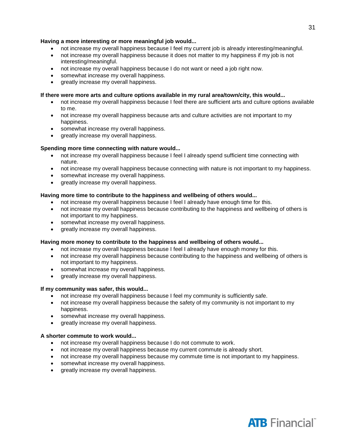#### **Having a more interesting or more meaningful job would...**

- not increase my overall happiness because I feel my current job is already interesting/meaningful.
- not increase my overall happiness because it does not matter to my happiness if my job is not interesting/meaningful.
- not increase my overall happiness because I do not want or need a job right now.
- somewhat increase my overall happiness.
- greatly increase my overall happiness.

#### **If there were more arts and culture options available in my rural area/town/city, this would...**

- not increase my overall happiness because I feel there are sufficient arts and culture options available to me.
- not increase my overall happiness because arts and culture activities are not important to my happiness.
- somewhat increase my overall happiness.
- greatly increase my overall happiness.

#### **Spending more time connecting with nature would...**

- not increase my overall happiness because I feel I already spend sufficient time connecting with nature.
- not increase my overall happiness because connecting with nature is not important to my happiness.
- somewhat increase my overall happiness.
- greatly increase my overall happiness.

#### **Having more time to contribute to the happiness and wellbeing of others would...**

- not increase my overall happiness because I feel I already have enough time for this.
- not increase my overall happiness because contributing to the happiness and wellbeing of others is not important to my happiness.
- somewhat increase my overall happiness.
- greatly increase my overall happiness.

#### **Having more money to contribute to the happiness and wellbeing of others would...**

- not increase my overall happiness because I feel I already have enough money for this.
- not increase my overall happiness because contributing to the happiness and wellbeing of others is not important to my happiness.
- somewhat increase my overall happiness.
- greatly increase my overall happiness.

#### **If my community was safer, this would...**

- not increase my overall happiness because I feel my community is sufficiently safe.
- not increase my overall happiness because the safety of my community is not important to my happiness.
- somewhat increase my overall happiness.
- greatly increase my overall happiness.

#### **A shorter commute to work would...**

- not increase my overall happiness because I do not commute to work.
- not increase my overall happiness because my current commute is already short.
- not increase my overall happiness because my commute time is not important to my happiness.
- somewhat increase my overall happiness.
- greatly increase my overall happiness.

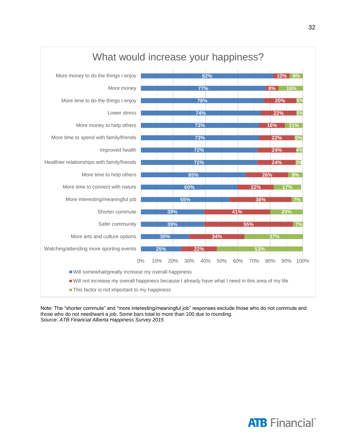

#### Note: The "shorter commute" and "more interesting/meaningful job" responses exclude those who do not commute and those who do not need/want a job. Some bars total to more than 100 due to rounding. Source: *ATB Financial Alberta Happiness Survey 2015*